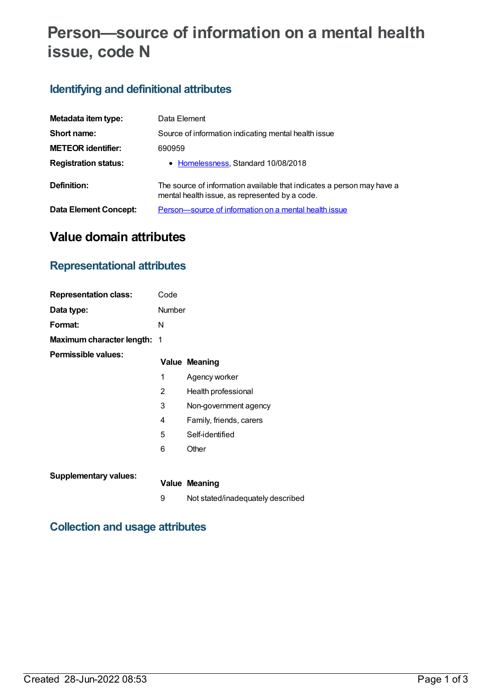# **Person—source of information on a mental health issue, code N**

## **Identifying and definitional attributes**

| Metadata item type:          | Data Element                                                                                                             |
|------------------------------|--------------------------------------------------------------------------------------------------------------------------|
| Short name:                  | Source of information indicating mental health issue                                                                     |
| <b>METEOR identifier:</b>    | 690959                                                                                                                   |
| <b>Registration status:</b>  | • Homelessness, Standard 10/08/2018                                                                                      |
| Definition:                  | The source of information available that indicates a person may have a<br>mental health issue, as represented by a code. |
| <b>Data Element Concept:</b> | Person-source of information on a mental health issue                                                                    |

# **Value domain attributes**

### **Representational attributes**

| <b>Representation class:</b> | Code                     |                                   |
|------------------------------|--------------------------|-----------------------------------|
| Data type:                   | Number                   |                                   |
| Format:                      | N                        |                                   |
| Maximum character length:    | $\overline{\phantom{1}}$ |                                   |
| Permissible values:          |                          | <b>Value Meaning</b>              |
|                              | 1                        | Agency worker                     |
|                              | 2                        | Health professional               |
|                              | 3                        | Non-government agency             |
|                              | 4                        | Family, friends, carers           |
|                              | 5                        | Self-identified                   |
|                              | 6                        | Other                             |
| <b>Supplementary values:</b> |                          |                                   |
|                              |                          | <b>Value Meaning</b>              |
|                              | 9                        | Not stated/inadequately described |

## **Collection and usage attributes**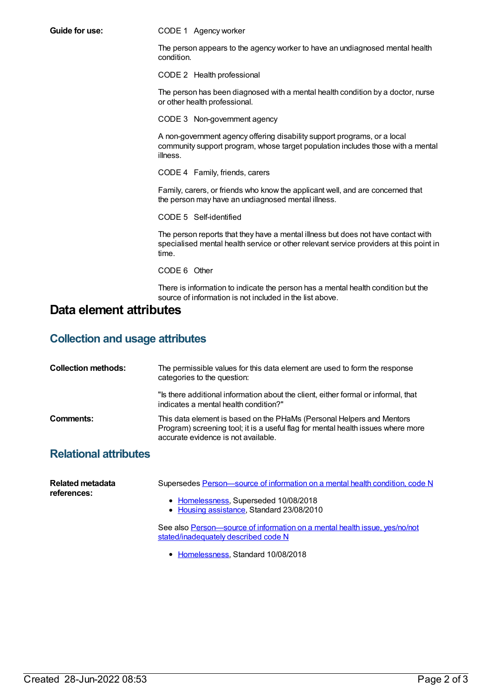**Guide for use:** CODE 1 Agency worker

The person appears to the agency worker to have an undiagnosed mental health condition.

CODE 2 Health professional

The person has been diagnosed with a mental health condition by a doctor, nurse or other health professional.

CODE 3 Non-government agency

A non-government agency offering disability support programs, or a local community support program, whose target population includes those with a mental illness.

CODE 4 Family, friends, carers

Family, carers, or friends who know the applicant well, and are concerned that the person may have an undiagnosed mental illness.

CODE 5 Self-identified

The person reports that they have a mental illness but does not have contact with specialised mental health service or other relevant service providers at this point in time.

CODE 6 Other

There is information to indicate the person has a mental health condition but the source of information is not included in the list above.

#### **Data element attributes**

#### **Collection and usage attributes**

| <b>Collection methods:</b>   | The permissible values for this data element are used to form the response<br>categories to the question:                                                                                        |
|------------------------------|--------------------------------------------------------------------------------------------------------------------------------------------------------------------------------------------------|
|                              | "Is there additional information about the client, either formal or informal, that<br>indicates a mental health condition?"                                                                      |
| Comments:                    | This data element is based on the PHaMs (Personal Helpers and Mentors<br>Program) screening tool; it is a useful flag for mental health issues where more<br>accurate evidence is not available. |
| <b>Relational attributes</b> |                                                                                                                                                                                                  |

| Related metadata<br>references: | Supersedes Person—source of information on a mental health condition, code N                                       |
|---------------------------------|--------------------------------------------------------------------------------------------------------------------|
|                                 | • Homelessness, Superseded 10/08/2018<br>• Housing assistance, Standard 23/08/2010                                 |
|                                 | See also Person—source of information on a mental health issue, yes/no/not<br>stated/inadequately described code N |
|                                 | • Homelessness, Standard 10/08/2018                                                                                |